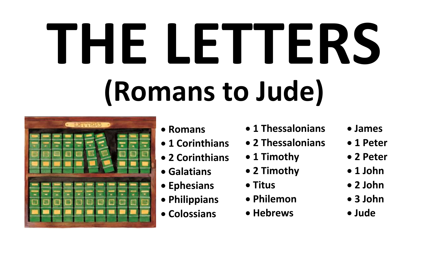# **THE LETTERS (Romans to Jude)**



- **[Romans](http://www.usccb.org/bible/books-of-the-bible/#Romans)**
- **[1 Corinthians](http://www.usccb.org/bible/books-of-the-bible/#1 Corinthians)**
- **[2 Corinthians](http://www.usccb.org/bible/books-of-the-bible/#2 Corinthians)**
- **[Galatians](http://www.usccb.org/bible/books-of-the-bible/#Galatians)**
- **[Ephesians](http://www.usccb.org/bible/books-of-the-bible/#Ephesians)**
- **[Philippians](http://www.usccb.org/bible/books-of-the-bible/#Philippians)**
- **[Colossians](http://www.usccb.org/bible/books-of-the-bible/#Colossians)**
- **[1 Thessalonians](http://www.usccb.org/bible/books-of-the-bible/#1 Thessalonians)**
- **[2 Thessalonians](http://www.usccb.org/bible/books-of-the-bible/#2 Thessalonians)**
- **[1 Timothy](http://www.usccb.org/bible/books-of-the-bible/#1 Timothy)**
- **[2 Timothy](http://www.usccb.org/bible/books-of-the-bible/#2 Timothy)**
- **[Titus](http://www.usccb.org/bible/books-of-the-bible/#Titus)**
- **[Philemon](http://www.usccb.org/bible/books-of-the-bible/#Philemon)**
- **[Hebrews](http://www.usccb.org/bible/books-of-the-bible/#Hebrews)**
- **[James](http://www.usccb.org/bible/books-of-the-bible/#James)**
- **[1 Peter](http://www.usccb.org/bible/books-of-the-bible/#1 Peter)**
- **[2 Peter](http://www.usccb.org/bible/books-of-the-bible/#2 Peter)**
- **[1 John](http://www.usccb.org/bible/books-of-the-bible/#1 John)**
- **[2 John](http://www.usccb.org/bible/books-of-the-bible/#2 John)**
- **[3 John](http://www.usccb.org/bible/books-of-the-bible/#3 John)**
- **[Jude](http://www.usccb.org/bible/books-of-the-bible/#Jude)**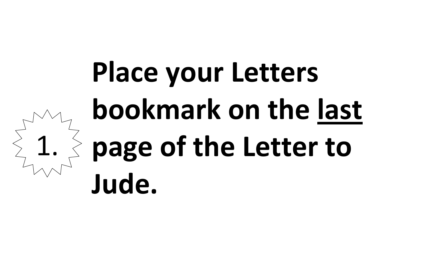## **Place your Letters bookmark on the last page of the Letter to Jude.**

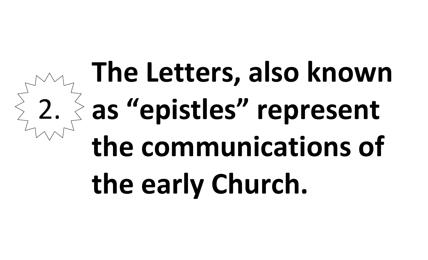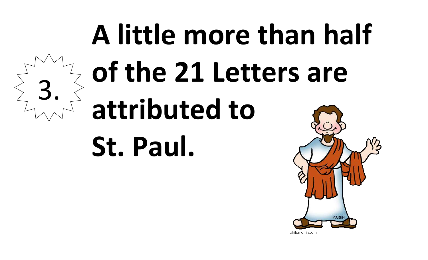## **A little more than half of the 21 Letters are attributed to**

**St. Paul.**

3.

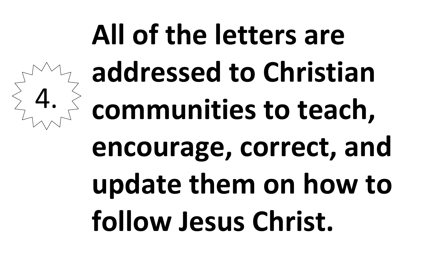## **All of the letters are addressed to Christian communities to teach, encourage, correct, and update them on how to follow Jesus Christ.**

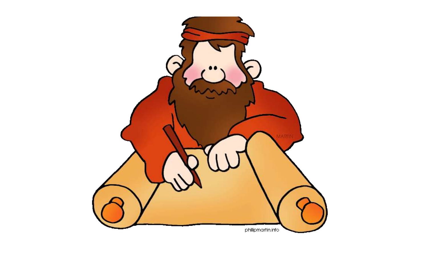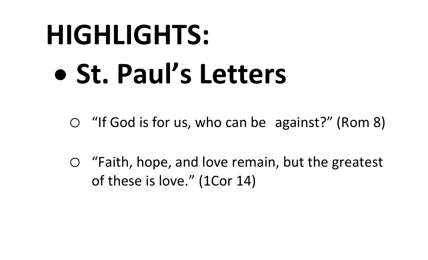## **HIGHLIGHTS: St. Paul's Letters**

- o "If God is for us, who can be against?" (Rom 8)
- o "Faith, hope, and love remain, but the greatest of these is love." (1Cor 14)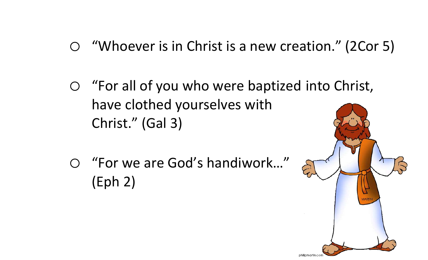- o "Whoever is in Christ is a new creation." (2Cor 5)
- o "For all of you who were baptized into Christ, have clothed yourselves with Christ." (Gal 3)
- o "For we are God's handiwork…" (Eph 2)

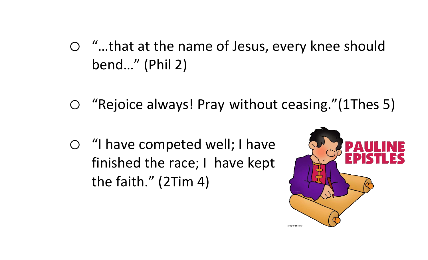- o "…that at the name of Jesus, every knee should bend…" (Phil 2)
- o "Rejoice always! Pray without ceasing."(1Thes 5)
- o "I have competed well; I have finished the race; I have kept the faith." (2Tim 4)

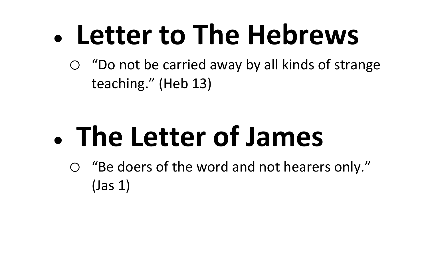#### **Letter to The Hebrews**

o "Do not be carried away by all kinds of strange teaching." (Heb 13)

#### **The Letter of James**

o "Be doers of the word and not hearers only." (Jas 1)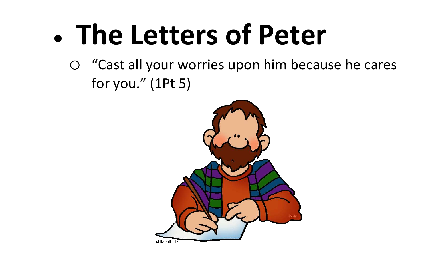### **The Letters of Peter**

o "Cast all your worries upon him because he cares for you." (1Pt 5)